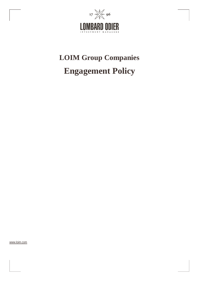

# **LOIM Group Companies Engagement Policy**

[www.loim.com](http://www.loim.com/)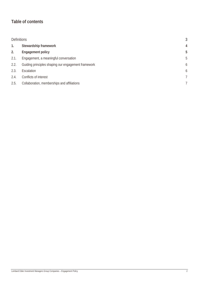## **Table of contents**

| <b>Definitions</b> |                                                     | 3 |
|--------------------|-----------------------------------------------------|---|
| 1.                 | Stewardship framework                               | 4 |
| 2.                 | <b>Engagement policy</b>                            | 5 |
| 2.1.               | Engagement, a meaningful conversation               | 5 |
| 2.2.               | Guiding principles shaping our engagement framework | 6 |
| 2.3.               | Escalation                                          | 6 |
| 2.4.               | Conflicts of interest                               | 7 |
| 2.5.               | Collaboration, memberships and affiliations         | 7 |
|                    |                                                     |   |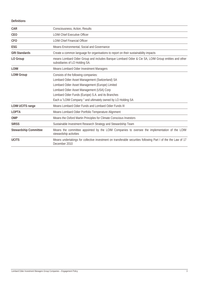**Definitions**

| <b>CAR</b>                   | Consciousness, Action, Results                                                                                                        |
|------------------------------|---------------------------------------------------------------------------------------------------------------------------------------|
| CEO                          | <b>LOIM Chief Executive Officer</b>                                                                                                   |
| CF <sub>O</sub>              | <b>LOIM Chief Financial Officer</b>                                                                                                   |
| ESG                          | Means Environmental, Social and Governance                                                                                            |
| <b>GRI Standards</b>         | Create a common language for organisations to report on their sustainability impacts                                                  |
| LO Group                     | means Lombard Odier Group and includes Banque Lombard Odier & Cie SA, LOIM Group entities and other<br>subsidiaries of LO Holding SA. |
| <b>LOIM</b>                  | Means Lombard Odier Investment Managers                                                                                               |
| <b>LOIM Group</b>            | Consists of the following companies:                                                                                                  |
|                              | Lombard Odier Asset Management (Switzerland) SA                                                                                       |
|                              | Lombard Odier Asset Management (Europe) Limited                                                                                       |
|                              | Lombard Odier Asset Management (USA) Corp                                                                                             |
|                              | Lombard Odier Funds (Europe) S.A. and its Branches                                                                                    |
|                              | Each a "LOIM Company" and ultimately owned by LO Holding SA                                                                           |
| <b>LOIM UCITS range</b>      | Means Lombard Odier Funds and Lombard Odier Funds III                                                                                 |
| <b>LOPTA</b>                 | Means Lombard Odier Portfolio Temperature Alignment                                                                                   |
| <b>OMP</b>                   | Means the Oxford Martin Principles for Climate Conscious Investors                                                                    |
| <b>SIRSS</b>                 | Sustainable Investment Research Strategy and Stewardship Team                                                                         |
| <b>Stewardship Committee</b> | Means the committee appointed by the LOIM Companies to oversee the implementation of the LOIM<br>stewardship activities               |
| <b>UCITS</b>                 | Means undertakings for collective investment on transferable securities following Part I of the the Law of 17<br>December 2010        |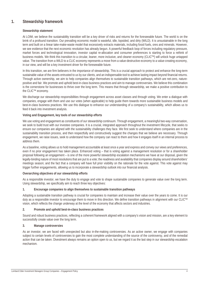### **1. Stewardship framework**

#### **Stewardship statement**

At LOIM, we believe the sustainability transition will be a key driver of risks and returns for the foreseeable future. The world is on the brink of a profound transition. Our prevailing economic model is wasteful, idle, lopsided, and dirty (WILD). It is unsustainable in the long term and built on a linear take-make-waste model that excessively extracts materials, including fossil fuels, ores and minerals. However, we see evidence that the next economic revolution has already begun. A powerful feedback loop of forces including regulatory pressure, market forces and technological innovation, investor capital re-allocation and consumer preferences is starting to force a rethink of business models. We think this transition to a circular, leaner, more inclusive, and cleaner economy (CLICTM) will unlock huge untapped value. The transition from a WILD to a CLIC economy represents a move from a value-destructive economy to a value-creating economy, in our view, and will be a key investment driver for the foreseeable future.

In this transition, we are firm believers in the importance of stewardship. This is a crucial approach to protect and enhance the long-term sustainable value of the assets entrusted to us by our clients, and an indispensable tool to achieve lasting impact beyond financial returns. Through active ownership, we aim to help companies align themselves to sustainable transition pathways, which are net-zero, naturepositive and fair. We promote and uphold best-in-class business practices and aim to manage controversies. We believe this combination is the cornerstone for businesses to thrive over the long term. This means that through stewardship, we make a positive contribution to the CLIC™ economy.

We discharge our stewardship responsibilities through engagement across asset classes and through voting. We enter a dialogue with companies, engage with them and use our votes (when applicable) to help guide them towards more sustainable business models and best-in-class business practices. We use this dialogue to enhance our understanding of a company's sustainability, which allows us to feed it back into investment analysis.

#### **Voting and Engagement, key tools of our stewardship efforts**

We use voting and engagement as constituents of our stewardship continuum. Through engagement, a meaningful two-way conversation, we seek to build trust with our investee companies. It is a crucial, integrated approach throughout the investment lifecycle, that seeks to ensure our companies are aligned with the sustainability challenges they face. We first seek to understand where companies are in the sustainability transition process, and then respectfully and constructively suggest the changes that we believe are necessary. Through engagement, we raise issues, seek to understand how the company can react to them and how it engages itself in an internal process to address them.

As a baseline, voting allows us to hold management accountable at least once a year and express and convey our views and preferences, even if no prior engagement has taken place. Enhanced voting – that is voting against a management resolution or for a shareholder proposal following an engagement – is one of the more powerful stewardship escalation mechanisms we have at our disposal, given the legally-binding nature of most resolutions that are put to a vote; the readiness and availability that companies display around shareholders' meetings season; and the fact that a company will have full prior visibility on the rationale for the vote against. This vote against may trigger further engagements, allowing us to incorporate a stewardship outlook into our financial analysis.

#### **Overarching objectives of our stewardship efforts**

As a responsible investor, we have the duty to engage and vote to shape sustainable companies to generate value over the long term. Using stewardship, we specifically aim to reach three key objectives:

#### **1. Encourage companies to align themselves to sustainable transition pathways**

Adopting a sustainable transition pathway is crucial for companies to maintain and increase their value over the years to come. It is our duty as a responsible investor to encourage them to move in this direction. We define transition pathways in alignment with our CLIC™ vision, which reflects the change underway at the level of the economy that affects sectors and industries.

#### **2. Promote and uphold best-in-class business practices**

Sound and robust business practices, reflecting a coherent framework aligned with a company's vision and mission, are a key element to successfully create value over the long term.

#### **3. Manage controversies**

As an investor, we are faced with unexpected but also in-the-making controversies. As an active owner, we engage with companies subject to certain levels of controversies to gain the most complete understanding of the source of the controversy, and of the remedial action that can be taken. Divestment always remains an option open to us, but we regard it as the last step in our stewardship escalation mechanism.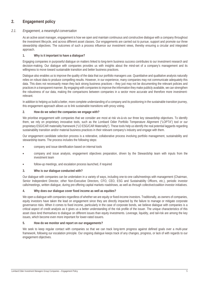## **2. Engagement policy**

#### *2.1. Engagement, a meaningful conversation*

As an active asset manager, engagement is how we open and maintain continuous and constructive dialogue with a company throughout the investment lifecycle, and across different asset classes. Our engagements are carried out to pursue, support and promote our three stewardship objectives. The outcomes of such a process influence our investment views, thereby ensuring a circular and integrated approach.

#### **1. Why is it important to have a dialogue?**

Engaging companies in purposeful dialogue on matters linked to long-term business success contributes to our investment research and decision-making. Our dialogue with companies provides us with insights about the mind-set of a company's management and its willingness to move toward sustainable transition and better business practices.

Dialogue also enables us to improve the quality of the data that our portfolio managers use. Quantitative and qualitative analysis naturally relies on robust data to produce compelling results. However, in our experience, many companies may not communicate adequately this data. This does not necessarily mean they lack strong business practices – they just may not be documenting the relevant policies and practices in a transparent manner. By engaging with companies to improve the information they make publicly available, we can strengthen the robustness of our data, making the comparisons between companies in a sector more accurate and therefore more investmentrelevant.

In addition to helping us build a better, more complete understanding of a company and its positioning in the sustainable transition journey, this engagement approach allows us to link sustainable transitions with proxy voting.

#### **2. How do we select the companies we engage with?**

We prioritise engagement with companies that we consider are most at risk vis-à-vis our three key stewardship objectives. To identify them, we rely on proprietary innovative tools, such as the Lombard Odier Portfolio Temperature Alignment ("LOPTA") tool or our proprietary ESG/CAR materiality framework ("LO ESG/CAR Materiality"). These tools help us identify the real potential laggards regarding sustainability transition and/or material business practices in their relevant company's industry and engage with them.

Our engagement candidate selection process is a reiterative, collaborative process involving portfolio management, sustainability and stewardship teams. The process includes the following steps:

- company and issue identification based on internal tools
- company and issue analysis, engagement objectives preparation, driven by the Stewardship team with inputs from the investment team
- follow-up meetings, and escalation process launched, if required

#### **3. Who is our dialogue conducted with?**

Our dialogue with companies can be undertaken in a variety of ways, including one-to-one calls/meetings with management (Chairman, Senior Independent Director, other Non-Executive Directors, CFO, CEO, ESG and Sustainability Officers, etc.), periodic investor calls/meetings, written dialogue, during pre-offering capital markets roadshows, as well as through collective/coalition investor initiatives.

#### **4. Why does our dialogue cover fixed income as well as equities?**

We open a dialogue with companies regardless of whether we are equity or fixed-income investors. Traditionally, as owners of companies, equity investors have taken the lead on engagement since they are directly impacted by the failure to manage or mitigate corporate governance risks. When it comes to fixed income, particularly in the case of corporate bonds, we believe dialogue with companies is a critical aspect of credit analysis as it gives us a better understanding of the risk profile of the issuer. The unique characteristics of this asset class lend themselves to dialogue on different issues than equity investments. Leverage, liquidity, and tail-risk are among the key issues, which become even more important for lower-rated issuers.

#### **5. How do we monitor and report on our engagements?**

We seek to keep regular contact with companies so that we can track long-term progress against defined goals over a multi-year framework, following our escalation principle. Our ongoing dialogue keeps track of any changes, progress, or lack of with regards to our engagement objectives.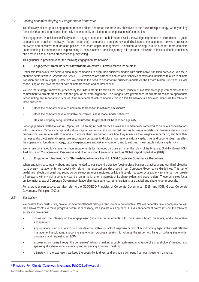#### *2.2. Guiding principles shaping our engagement framework*

To effectively discharge our engagement responsibilities and reach the three key objectives of our Stewardship strategy, we rely on key Principles that provide guidance internally and externally in relation to our expectations of companies.

Our engagement Principles specifically seek to engage companies on their boards' skills, knowledge, experience, and readiness to guide companies to transition pathways (board leadership), companies' transparency and disclosures, the alignment between transition pathways and executive remuneration policies, and share capital management. In addition to helping us build a better, more complete understanding of a company and its positioning in the sustainable transition journey, this approach allows us to link sustainable transitions and best-in-class business practices with proxy voting.

This guidance is provided under the following engagement frameworks:

#### **1. Engagement framework for Stewardship objective 1: Oxford Martin Principles[1](#page-5-0)**

Under this framework, we seek to encourage companies to align their business models with sustainable transition pathways. We focus on those sectors where Greenhouse Gas (GHG) emissions are harder-to-abated or in sensitive sectors and industries relative to climate transition and natural capital protection. We address the need to decarbonize business models via the Oxford Martin Principles, as well as focusing on the governance of both climate transition and natural capital.

We use the strategic framework provided by the Oxford Martin Principles for Climate Conscious Investors to engage companies on their commitment to climate transition with the goal of net-zero alignment. This ranges from governance of climate transition to appropriate target setting and reportable outcomes. Our engagement with companies through this framework is articulated alongside the following three questions:

- 1. Does the company have a commitment to transition to net-zero emissions?
- 2. Does the company have a profitable net-zero business model under net-zero?
- 3. Has the company set quantitative medium-term targets that will be reported against?

For engagements related to Natural Capital, we use emerging best practice as well as our materiality framework to guide our conversations with companies. Climate change and natural capital are intrinsically connected, and as business models shift towards decarbonised propositions, we engage with companies to ensure they can demonstrate how they minimise their negative impacts on, and how they harness and protect, natural capital. We encourage companies to disclose how material natural capital risks and opportunities may affect their operations, long-term strategy, capital expenditures and risk management, and to set clear, measurable natural capital KPIs.

We remain committed to climate transition engagements for improved disclosures under the rubric of the Financial Stability Board (FSB) Task Force on Climate-related Disclosures and other reporting frameworks, such as Global Reporting Initiative (GRI).

#### **2. Engagement framework for Stewardship objective 2 and 3: LOIM Corporate Governance Guidelines.**

When engaging a company about any issue related to our second objective (best-in-class business practices) and our third objective (controversy management), we specifically rely on the expectations described in our Corporate Governance Guidelines. This set of guidelines reflects our belief that sound corporate governance structures, built to effectively manage social and environmental risks, create a framework within which a company can be run in the long-term interests of its shareholders and stakeholders. These principles focus on five major areas of Corporate Governance: leadership, transparency, remuneration, share capital and shareholder proposals.

For a broader perspective, we also refer to the G20/OECD Principles of Corporate Governance (2015) and ICGN Global Corporate Governance Principles (2021).

#### *2.3. Escalation*

We believe that constructive, private, non-confrontational dialogue tends to be more effective. We will generally give a company no less than 18-24 months to make progress before, if necessary, we escalate our approach. LOIM's engagement policy sets out the following escalation provisions:

- increasing the intensity of the engagement (individual engagements with more senior board members, and collaborative engagements)
- appropriately using our vote to hold boards accountable for lack of response or lack of action: voting against the most relevant management resolutions, supporting shareholder proposals seeking to address the issue, and filing or co-filing shareholder proposals, and requesting an EGM.
- expressing concerns through the companies' advisors, making a public statement in advance of a shareholders' meeting, and speaking at a shareholders' meeting and requesting a general meeting.
- ultimately, in the last resort, we keep the possibility to divest and exclude a company from our investment universe.

<span id="page-5-0"></span><sup>1</sup> [Principles\\_For\\_Climate\\_Conscious\\_Investment\\_Feb2018.pdf \(ox.ac.uk\).](https://www.oxfordmartin.ox.ac.uk/downloads/briefings/Principles_For_Climate_Conscious_Investment_Feb2018.pdf)